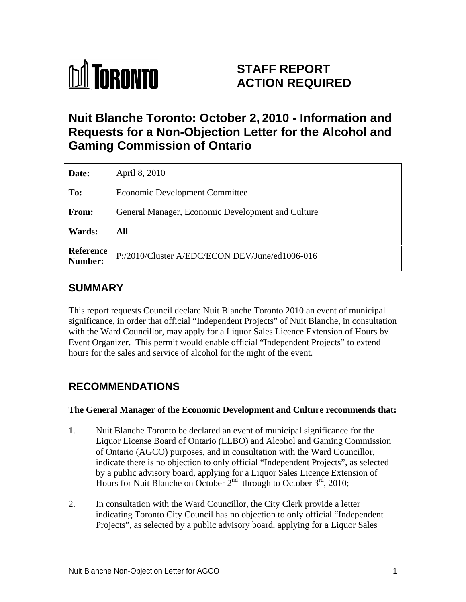

# **STAFF REPORT ACTION REQUIRED**

# **Nuit Blanche Toronto: October 2, 2010 - Information and Requests for a Non-Objection Letter for the Alcohol and Gaming Commission of Ontario**

| Date:                | April 8, 2010                                          |
|----------------------|--------------------------------------------------------|
| To:                  | <b>Economic Development Committee</b>                  |
| From:                | General Manager, Economic Development and Culture      |
| <b>Wards:</b>        | All                                                    |
| Reference<br>Number: | $\vert$ P:/2010/Cluster A/EDC/ECON DEV/June/ed1006-016 |

## **SUMMARY**

This report requests Council declare Nuit Blanche Toronto 2010 an event of municipal significance, in order that official "Independent Projects" of Nuit Blanche, in consultation with the Ward Councillor, may apply for a Liquor Sales Licence Extension of Hours by Event Organizer. This permit would enable official "Independent Projects" to extend hours for the sales and service of alcohol for the night of the event.

## **RECOMMENDATIONS**

#### **The General Manager of the Economic Development and Culture recommends that:**

- 1. Nuit Blanche Toronto be declared an event of municipal significance for the Liquor License Board of Ontario (LLBO) and Alcohol and Gaming Commission of Ontario (AGCO) purposes, and in consultation with the Ward Councillor, indicate there is no objection to only official "Independent Projects", as selected by a public advisory board, applying for a Liquor Sales Licence Extension of Hours for Nuit Blanche on October  $2^{nd}$  through to October  $3^{rd}$ , 2010;  $\rm r^{rd}$ , 2010;
- 2. In consultation with the Ward Councillor, the City Clerk provide a letter indicating Toronto City Council has no objection to only official "Independent Projects", as selected by a public advisory board, applying for a Liquor Sales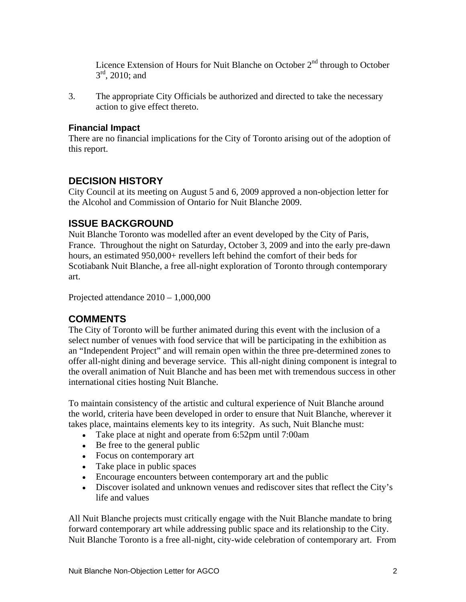Licence Extension of Hours for Nuit Blanche on October  $2<sup>nd</sup>$  through to October  $3<sup>rd</sup>$ , 2010; and  $3^{rd}$ , 2010; and  $3^{rd}$  $r<sup>rd</sup>$  2010; and , 2010; and

3. The appropriate City Officials be authorized and directed to take the necessary action to give effect thereto.

#### **Financial Impact**

There are no financial implications for the City of Toronto arising out of the adoption of this report.

#### **DECISION HISTORY**

City Council at its meeting on August 5 and 6, 2009 approved a non-objection letter for the Alcohol and Commission of Ontario for Nuit Blanche 2009.

### **ISSUE BACKGROUND**

Nuit Blanche Toronto was modelled after an event developed by the City of Paris, France. Throughout the night on Saturday, October 3, 2009 and into the early pre-dawn hours, an estimated 950,000+ revellers left behind the comfort of their beds for Scotiabank Nuit Blanche, a free all-night exploration of Toronto through contemporary art.

Projected attendance 2010 – 1,000,000

### **COMMENTS**

The City of Toronto will be further animated during this event with the inclusion of a select number of venues with food service that will be participating in the exhibition as an "Independent Project" and will remain open within the three pre-determined zones to offer all-night dining and beverage service. This all-night dining component is integral to the overall animation of Nuit Blanche and has been met with tremendous success in other international cities hosting Nuit Blanche.

To maintain consistency of the artistic and cultural experience of Nuit Blanche around the world, criteria have been developed in order to ensure that Nuit Blanche, wherever it takes place, maintains elements key to its integrity. As such, Nuit Blanche must:

- Take place at night and operate from 6:52pm until 7:00am
- Be free to the general public
- Focus on contemporary art
- Take place in public spaces
- Encourage encounters between contemporary art and the public
- Discover isolated and unknown venues and rediscover sites that reflect the City's life and values

All Nuit Blanche projects must critically engage with the Nuit Blanche mandate to bring forward contemporary art while addressing public space and its relationship to the City. Nuit Blanche Toronto is a free all-night, city-wide celebration of contemporary art. From